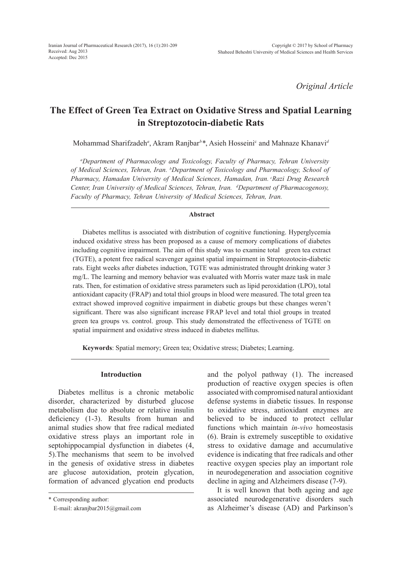*Original Article*

# **The Effect of Green Tea Extract on Oxidative Stress and Spatial Learning in Streptozotocin-diabetic Rats**

Mohammad Sharifzadeh*<sup>a</sup>* , Akram Ranjbar*<sup>b</sup> \**, Asieh Hosseinic and Mahnaze Khanavi*<sup>d</sup>*

*a Department of Pharmacology and Toxicology, Faculty of Pharmacy, Tehran University of Medical Sciences, Tehran, Iran. b Department of Toxicology and Pharmacology, School of Pharmacy, Hamadan University of Medical Sciences, Hamadan, Iran. cRazi Drug Research Center, Iran University of Medical Sciences, Tehran, Iran. d Department of Pharmacogenosy, Faculty of Pharmacy, Tehran University of Medical Sciences, Tehran, Iran.*

#### **Abstract**

Diabetes mellitus is associated with distribution of cognitive functioning. Hyperglycemia induced oxidative stress has been proposed as a cause of memory complications of diabetes including cognitive impairment. The aim of this study was to examine total green tea extract (TGTE), a potent free radical scavenger against spatial impairment in Streptozotocin-diabetic rats. Eight weeks after diabetes induction, TGTE was administrated throught drinking water 3 mg/L. The learning and memory behavior was evaluated with Morris water maze task in male rats. Then, for estimation of oxidative stress parameters such as lipid peroxidation (LPO), total antioxidant capacity (FRAP) and total thiol groups in blood were measured. The total green tea extract showed improved cognitive impairment in diabetic groups but these changes weren't significant. There was also significant increase FRAP level and total thiol groups in treated green tea groups vs. control. group. This study demonstrated the effectiveness of TGTE on spatial impairment and oxidative stress induced in diabetes mellitus.

**Keywords**: Spatial memory; Green tea; Oxidative stress; Diabetes; Learning.

#### **Introduction**

Diabetes mellitus is a chronic metabolic disorder, characterized by disturbed glucose metabolism due to absolute or relative insulin deficiency (1-3). Results from human and animal studies show that free radical mediated oxidative stress plays an important role in septohippocampial dysfunction in diabetes (4, 5).The mechanisms that seem to be involved in the genesis of oxidative stress in diabetes are glucose autoxidation, protein glycation, formation of advanced glycation end products

\* Corresponding author:

and the polyol pathway (1). The increased production of reactive oxygen species is often associated with compromised natural antioxidant defense systems in diabetic tissues. In response to oxidative stress, antioxidant enzymes are believed to be induced to protect cellular functions which maintain *in-vivo* homeostasis (6). Brain is extremely susceptible to oxidative stress to oxidative damage and accumulative evidence is indicating that free radicals and other reactive oxygen species play an important role in neurodegeneration and association cognitive decline in aging and Alzheimers disease (7-9).

It is well known that both ageing and age associated neurodegenerative disorders such as Alzheimer's disease (AD) and Parkinson's

E-mail: akranjbar2015@gmail.com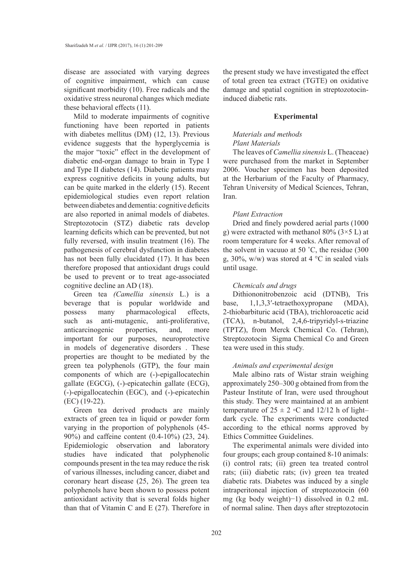disease are associated with varying degrees of cognitive impairment, which can cause significant morbidity (10). Free radicals and the oxidative stress neuronal changes which mediate these behavioral effects (11).

Mild to moderate impairments of cognitive functioning have been reported in patients with diabetes mellitus (DM) (12, 13). Previous evidence suggests that the hyperglycemia is the major "toxic" effect in the development of diabetic end-organ damage to brain in Type I and Type II diabetes (14). Diabetic patients may express cognitive deficits in young adults, but can be quite marked in the elderly (15). Recent epidemiological studies even report relation between diabetes and dementia: cognitive deficits are also reported in animal models of diabetes. Streptozotocin (STZ) diabetic rats develop learning deficits which can be prevented, but not fully reversed, with insulin treatment (16). The pathogenesis of cerebral dysfunction in diabetes has not been fully elucidated (17). It has been therefore proposed that antioxidant drugs could be used to prevent or to treat age-associated cognitive decline an AD (18).

Green tea *(Camellia sinensis* L.) is a beverage that is popular worldwide and possess many pharmacological effects, such as anti-mutagenic, anti-proliferative, anticarcinogenic properties, and, more important for our purposes, neuroprotective in models of degenerative disorders . These properties are thought to be mediated by the green tea polyphenols (GTP), the four main components of which are (-)-epigallocatechin gallate (EGCG), (-)-epicatechin gallate (ECG), (-)-epigallocatechin (EGC), and (-)-epicatechin (EC) (19-22).

Green tea derived products are mainly extracts of green tea in liquid or powder form varying in the proportion of polyphenols (45- 90%) and caffeine content (0.4-10%) (23, 24). Epidemiologic observation and laboratory studies have indicated that polyphenolic compounds present in the tea may reduce the risk of various illnesses, including cancer, diabet and coronary heart disease (25, 26). The green tea polyphenols have been shown to possess potent antioxidant activity that is several folds higher than that of Vitamin C and E (27). Therefore in the present study we have investigated the effect of total green tea extract (TGTE) on oxidative damage and spatial cognition in streptozotocininduced diabetic rats.

#### **Experimental**

# *Materials and methods Plant Materials*

The leaves of *Camellia sinensis* L. (Theaceae) were purchased from the market in September 2006. Voucher specimen has been deposited at the Herbarium of the Faculty of Pharmacy, Tehran University of Medical Sciences, Tehran, Iran.

### *Plant Extraction*

Dried and finely powdered aerial parts (1000 g) were extracted with methanol 80% ( $3 \times 5$  L) at room temperature for 4 weeks. After removal of the solvent in vacuuo at 50 ˚C, the residue (300 g, 30%, w/w) was stored at 4  $\degree$ C in sealed vials until usage.

# *Chemicals and drugs*

Dithiononitrobenzoic acid (DTNB), Tris base, 1,1,3,3′-tetraethoxypropane (MDA), 2-thiobarbituric acid (TBA), trichloroacetic acid (TCA), n-butanol, 2,4,6-tripyridyl-s-triazine (TPTZ), from Merck Chemical Co. (Tehran), Streptozotocin Sigma Chemical Co and Green tea were used in this study.

### *Animals and experimental design*

Male albino rats of Wistar strain weighing approximately 250–300 g obtained from from the Pasteur Institute of Iran, were used throughout this study. They were maintained at an ambient temperature of  $25 \pm 2 \cdot C$  and 12/12 h of light– dark cycle. The experiments were conducted according to the ethical norms approved by Ethics Committee Guidelines.

The experimental animals were divided into four groups; each group contained 8-10 animals: (i) control rats; (ii) green tea treated control rats; (iii) diabetic rats; (iv) green tea treated diabetic rats. Diabetes was induced by a single intraperitoneal injection of streptozotocin (60 mg (kg body weight)−1) dissolved in 0.2 mL of normal saline. Then days after streptozotocin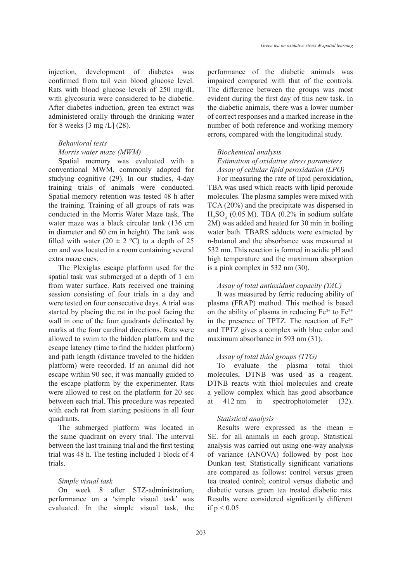injection, development of diabetes was confirmed from tail vein blood glucose level. Rats with blood glucose levels of 250 mg/dL with glycosuria were considered to be diabetic. After diabetes induction, green tea extract was administered orally through the drinking water for 8 weeks  $[3 \text{ mg}/L]$  (28).

# *Behavioral tests*

# *Morris water maze (MWM)*

Spatial memory was evaluated with a conventional MWM, commonly adopted for studying cognitive (29). In our studies, 4-day training trials of animals were conducted. Spatial memory retention was tested 48 h after the training. Training of all groups of rats was conducted in the Morris Water Maze task. The water maze was a black circular tank (136 cm in diameter and 60 cm in height). The tank was filled with water  $(20 \pm 2 \degree C)$  to a depth of 25 cm and was located in a room containing several extra maze cues.

The Plexiglas escape platform used for the spatial task was submerged at a depth of 1 cm from water surface. Rats received one training session consisting of four trials in a day and were tested on four consecutive days. A trial was started by placing the rat in the pool facing the wall in one of the four quadrants delineated by marks at the four cardinal directions. Rats were allowed to swim to the hidden platform and the escape latency (time to find the hidden platform) and path length (distance traveled to the hidden platform) were recorded. If an animal did not escape within 90 sec, it was manually guided to the escape platform by the experimenter. Rats were allowed to rest on the platform for 20 sec between each trial. This procedure was repeated with each rat from starting positions in all four quadrants.

The submerged platform was located in the same quadrant on every trial. The interval between the last training trial and the first testing trial was 48 h. The testing included 1 block of 4 trials.

#### *Simple visual task*

On week 8 after STZ-administration, performance on a 'simple visual task' was evaluated. In the simple visual task, the performance of the diabetic animals was impaired compared with that of the controls. The difference between the groups was most evident during the first day of this new task. In the diabetic animals, there was a lower number of correct responses and a marked increase in the number of both reference and working memory errors, compared with the longitudinal study.

# *Biochemical analysis Estimation of oxidative stress parameters Assay of cellular lipid peroxidation (LPO)*

For measuring the rate of lipid peroxidation, TBA was used which reacts with lipid peroxide molecules. The plasma samples were mixed with TCA (20%) and the precipitate was dispersed in  $H<sub>2</sub>SO<sub>4</sub>$  (0.05 M). TBA (0.2% in sodium sulfate 2M) was added and heated for 30 min in boiling water bath. TBARS adducts were extracted by n-butanol and the absorbance was measured at 532 nm. This reaction is formed in acidic pH and high temperature and the maximum absorption is a pink complex in 532 nm (30).

#### *Assay of total antioxidant capacity (TAC)*

It was measured by ferric reducing ability of plasma (FRAP) method. This method is based on the ability of plasma in reducing  $Fe^{3+}$  to  $Fe^{2+}$ in the presence of TPTZ. The reaction of  $Fe<sup>2+</sup>$ and TPTZ gives a complex with blue color and maximum absorbance in 593 nm (31).

#### *Assay of total thiol groups (TTG)*

To evaluate the plasma total thiol molecules, DTNB was used as a reagent. DTNB reacts with thiol molecules and create a yellow complex which has good absorbance at 412 nm in spectrophotometer (32).

#### *Statistical analysis*

Results were expressed as the mean  $\pm$ SE. for all animals in each group. Statistical analysis was carried out using one-way analysis of variance (ANOVA) followed by post hoc Dunkan test. Statistically significant variations are compared as follows: control versus green tea treated control; control versus diabetic and diabetic versus green tea treated diabetic rats. Results were considered significantly different if  $p < 0.05$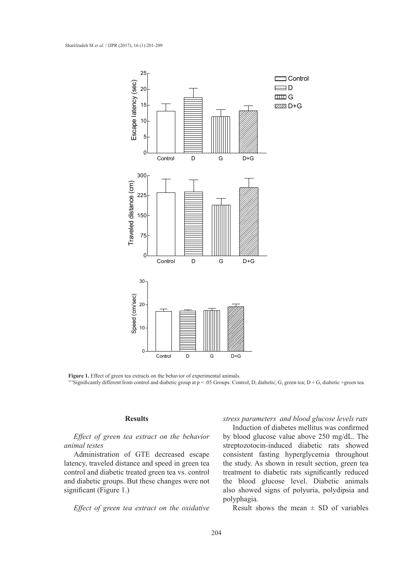



#### **Results**

*Effect of green tea extract on the behavior animal testes*

Administration of GTE decreased escape latency, traveled distance and speed in green tea control and diabetic treated green tea vs. control and diabetic groups. But these changes were not significant (Figure 1.)

*Effect of green tea extract on the oxidative* 

*stress parameters and blood glucose levels rats*

Induction of diabetes mellitus was confirmed by blood glucose value above 250 mg/dL. The streptozotocin-induced diabetic rats showed consistent fasting hyperglycemia throughout the study. As shown in result section, green tea treatment to diabetic rats significantly reduced the blood glucose level. Diabetic animals also showed signs of polyuria, polydipsia and polyphagia.

Result shows the mean  $\pm$  SD of variables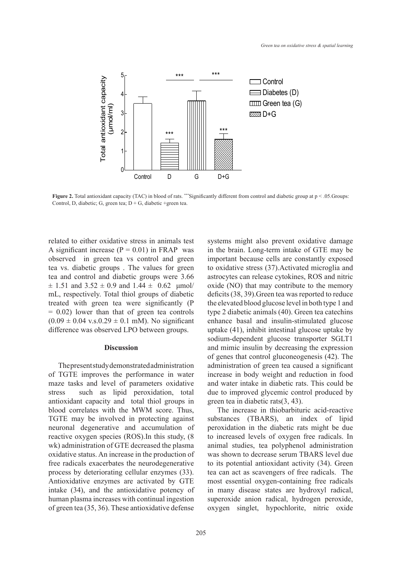

**Figure 2.** Total antioxidant capacity (TAC) in blood of rats. \*\*\*Significantly different from control and diabetic group at  $p < .05$ . Groups: Control, D, diabetic; G, green tea;  $D + G$ , diabetic +green tea.

related to either oxidative stress in animals test A significant increase  $(P = 0.01)$  in FRAP was observed in green tea vs control and green tea vs. diabetic groups . The values for green tea and control and diabetic groups were 3.66  $\pm$  1.51 and 3.52  $\pm$  0.9 and 1.44  $\pm$  0.62  $\mu$ mol/ mL, respectively. Total thiol groups of diabetic treated with green tea were significantly (P  $= 0.02$ ) lower than that of green tea controls  $(0.09 \pm 0.04 \text{ v.s.} 0.29 \pm 0.1 \text{ mM})$ . No significant difference was observed LPO between groups.

#### **Discussion**

The present study demonstrated administration of TGTE improves the performance in water maze tasks and level of parameters oxidative stress such as lipid peroxidation, total antioxidant capacity and total thiol groups in blood correlates with the MWM score. Thus, TGTE may be involved in protecting against neuronal degenerative and accumulation of reactive oxygen species (ROS).In this study, (8 wk) administration of GTE decreased the plasma oxidative status. An increase in the production of free radicals exacerbates the neurodegenerative process by deteriorating cellular enzymes (33). Antioxidative enzymes are activated by GTE intake (34), and the antioxidative potency of human plasma increases with continual ingestion of green tea (35, 36). These antioxidative defense

systems might also prevent oxidative damage in the brain. Long-term intake of GTE may be important because cells are constantly exposed to oxidative stress (37).Activated microglia and astrocytes can release cytokines, ROS and nitric oxide (NO) that may contribute to the memory deficits (38, 39).Green tea was reported to reduce the elevated blood glucose level in both type 1 and type 2 diabetic animals (40). Green tea catechins enhance basal and insulin-stimulated glucose uptake (41), inhibit intestinal glucose uptake by sodium-dependent glucose transporter SGLT1 and mimic insulin by decreasing the expression of genes that control gluconeogenesis (42). The administration of green tea caused a significant increase in body weight and reduction in food and water intake in diabetic rats. This could be due to improved glycemic control produced by green tea in diabetic rats(3, 43).

The increase in thiobarbituric acid-reactive substances (TBARS), an index of lipid peroxidation in the diabetic rats might be due to increased levels of oxygen free radicals. In animal studies, tea polyphenol administration was shown to decrease serum TBARS level due to its potential antioxidant activity (34). Green tea can act as scavengers of free radicals. The most essential oxygen-containing free radicals in many disease states are hydroxyl radical, superoxide anion radical, hydrogen peroxide, oxygen singlet, hypochlorite, nitric oxide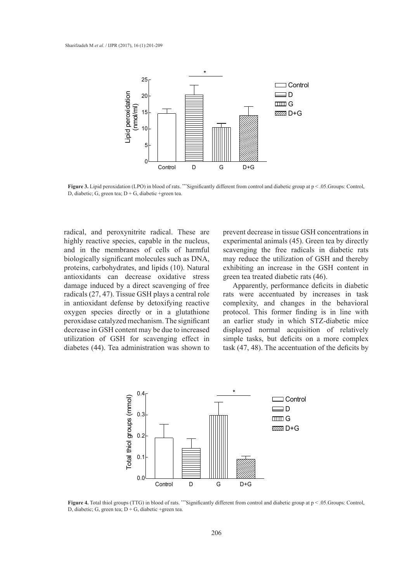

**Figure 3.** Lipid peroxidation (LPO) in blood of rats. \*\*\*Significantly different from control and diabetic group at  $p < .05$ . Groups: Control, D, diabetic; G, green tea;  $D + G$ , diabetic +green tea.

radical, and peroxynitrite radical. These are highly reactive species, capable in the nucleus, and in the membranes of cells of harmful biologically significant molecules such as DNA, proteins, carbohydrates, and lipids (10). Natural antioxidants can decrease oxidative stress damage induced by a direct scavenging of free radicals (27, 47). Tissue GSH plays a central role in antioxidant defense by detoxifying reactive oxygen species directly or in a glutathione peroxidase catalyzed mechanism. The significant decrease in GSH content may be due to increased utilization of GSH for scavenging effect in diabetes (44). Tea administration was shown to

prevent decrease in tissue GSH concentrations in experimental animals (45). Green tea by directly scavenging the free radicals in diabetic rats may reduce the utilization of GSH and thereby exhibiting an increase in the GSH content in green tea treated diabetic rats (46).

Apparently, performance deficits in diabetic rats were accentuated by increases in task complexity, and changes in the behavioral protocol. This former finding is in line with an earlier study in which STZ-diabetic mice displayed normal acquisition of relatively simple tasks, but deficits on a more complex task  $(47, 48)$ . The accentuation of the deficits by



**Figure 4.** Total thiol groups (TTG) in blood of rats. \*\*\*Significantly different from control and diabetic group at  $p < .05$ . Groups: Control, D, diabetic; G, green tea;  $D + G$ , diabetic +green tea.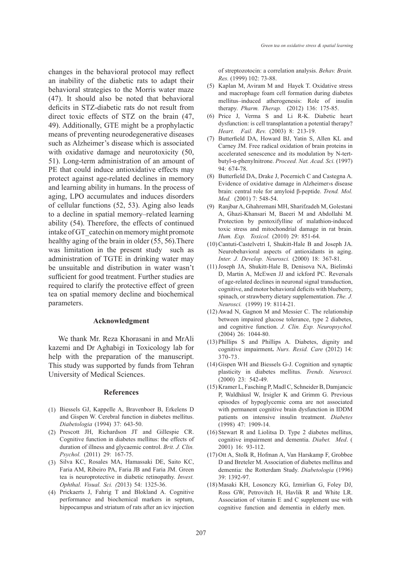changes in the behavioral protocol may reflect an inability of the diabetic rats to adapt their behavioral strategies to the Morris water maze (47). It should also be noted that behavioral deficits in STZ-diabetic rats do not result from direct toxic effects of STZ on the brain (47, 49). Additionally, GTE might be a prophylactic means of preventing neurodegenerative diseases such as Alzheimer's disease which is associated with oxidative damage and neurotoxicity (50, 51). Long-term administration of an amount of PE that could induce antioxidative effects may protect against age-related declines in memory and learning ability in humans. In the process of aging, LPO accumulates and induces disorders of cellular functions (52, 53). Aging also leads to a decline in spatial memory–related learning ability (54). Therefore, the effects of continued intake of GT\_catechin on memory might promote healthy aging of the brain in older (55, 56).There was limitation in the present study such as administration of TGTE in drinking water may be unsuitable and distribution in water wasn't sufficient for good treatment. Further studies are required to clarify the protective effect of green tea on spatial memory decline and biochemical parameters.

#### **Acknowledgment**

We thank Mr. Reza Khorasani in and MrAli kazemi and Dr Aghabigi in Toxicology lab for help with the preparation of the manuscript. This study was supported by funds from Tehran University of Medical Sciences.

#### **References**

- Biessels GJ, Kappelle A, Bravenboer B, Erkelens D (1) and Gispen W. Cerebral function in diabetes mellitus. *Diabetologia* (1994) 37: 643-50.
- (2) Prescott JH, Richardson JT and Gillespie CR. Cognitive function in diabetes mellitus: the effects of duration of illness and glycaemic control. *Brit. J. Clin. Psychol.* (2011) 29: 167-75.
- (3) Silva KC, Rosales MA, Hamassaki DE, Saito KC, Faria AM, Ribeiro PA, Faria JB and Faria JM. Green tea is neuroprotective in diabetic retinopathy. *Invest. Ophthal. Visual. Sci. (*2013) 54: 1325-36.
- (4) Prickaerts J, Fahrig T and Blokland A. Cognitive performance and biochemical markers in septum, hippocampus and striatum of rats after an icv injection

of streptozotocin: a correlation analysis. *Behav. Brain. Res.* (1999) 102: 73-88.

- (5) Kaplan M, Aviram M and Hayek T. Oxidative stress and macrophage foam cell formation during diabetes mellitus–induced atherogenesis: Role of insulin therapy. *Pharm. Therap.* (2012) 136: 175-85.
- $(6)$  Price J, Verma S and Li R-K. Diabetic heart dysfunction: is cell transplantation a potential therapy? *Heart. Fail. Rev.* (2003) 8: 213-19.
- (7) Butterfield DA, Howard BJ, Yatin S, Allen KL and Carney JM. Free radical oxidation of brain proteins in accelerated senescence and its modulation by N-tertbutyl-α-phenylnitrone. *Proceed. Nat. Acad. Sci.* (1997) 94: 674-78.
- (8) Butterfield DA, Drake J, Pocernich C and Castegna A. Evidence of oxidative damage in Alzheimer›s disease brain: central role for amyloid β-peptide. *Trend. Mol. Med.* (2001) 7: 548-54.
- Ranjbar A, Ghahremani MH, Sharifzadeh M, Golestani (9) A, Ghazi-Khansari M, Baeeri M and Abdollahi M. Protection by pentoxifylline of malathion-induced toxic stress and mitochondrial damage in rat brain. *Hum. Exp. Toxicol.* (2010) 29: 851-64.
- (10) Cantuti-Castelvetri I, Shukitt-Hale B and Joseph JA. Neurobehavioral aspects of antioxidants in aging. *Inter. J. Develop. Neurosci.* (2000) 18: 367-81.
- (11) Joseph JA, Shukitt-Hale B, Denisova NA, Bielinski D, Martin A, McEwen JJ and ickford PC. Reversals of age-related declines in neuronal signal transduction, cognitive, and motor behavioral deficits with blueberry, spinach, or strawberry dietary supplementation. *The. J. Neurosci.* (1999) 19: 8114-21.
- $(12)$  Awad N, Gagnon M and Messier C. The relationship between impaired glucose tolerance, type 2 diabetes, and cognitive function. *J. Clin. Exp. Neuropsychol.* (2004) 26: 1044-80.
- $(13)$  Phillips S and Phillips A. Diabetes, dignity and cognitive impairment**.** *Nurs. Resid. Care* (2012) 14: 370-73.
- $(14)$  Gispen WH and Biessels G-J. Cognition and synaptic plasticity in diabetes mellitus. *Trends. Neurosci.*  (2000) 23: 542-49.
- (15) Kramer L, Fasching P, Madl C, Schneider B, Damjancic P, Waldhäusl W, Irsigler K and Grimm G. Previous episodes of hypoglycemic coma are not associated with permanent cognitive brain dysfunction in IDDM patients on intensive insulin treatment. *Diabetes* (1998) 47: 1909-14.
- $(16)$  Stewart R and Liolitsa D. Type 2 diabetes mellitus, cognitive impairment and dementia. *Diabet. Med*. ( 2001) 16: 93-112.
- (17) Ott A, Stolk R, Hofman A, Van Harskamp F, Grobbee D and Breteler M. Association of diabetes mellitus and dementia: the Rotterdam Study. *Diabetologia* (1996) 39: 1392-97.
- (18) Masaki KH, Losonczy KG, Izmirlian G, Foley DJ, Ross GW, Petrovitch H, Havlik R and White LR. Association of vitamin E and C supplement use with cognitive function and dementia in elderly men.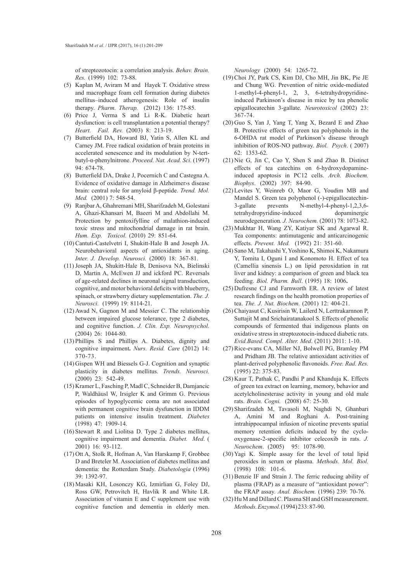of streptozotocin: a correlation analysis. *Behav. Brain. Res.* (1999) 102: 73-88.

- (5) Kaplan M, Aviram M and Hayek T. Oxidative stress and macrophage foam cell formation during diabetes mellitus–induced atherogenesis: Role of insulin therapy. *Pharm. Therap.* (2012) 136: 175-85.
- $(6)$  Price J, Verma S and Li R-K. Diabetic heart dysfunction: is cell transplantation a potential therapy? *Heart. Fail. Rev.* (2003) 8: 213-19.
- (7) Butterfield DA, Howard BJ, Yatin S, Allen KL and Carney JM. Free radical oxidation of brain proteins in accelerated senescence and its modulation by N-tertbutyl-α-phenylnitrone. *Proceed. Nat. Acad. Sci.* (1997) 94: 674-78.
- (8) Butterfield DA, Drake J, Pocernich C and Castegna A. Evidence of oxidative damage in Alzheimer›s disease brain: central role for amyloid β-peptide. *Trend. Mol. Med.* (2001) 7: 548-54.
- Ranjbar A, Ghahremani MH, Sharifzadeh M, Golestani (9) A, Ghazi-Khansari M, Baeeri M and Abdollahi M. Protection by pentoxifylline of malathion-induced toxic stress and mitochondrial damage in rat brain. *Hum. Exp. Toxicol.* (2010) 29: 851-64.
- (10) Cantuti-Castelvetri I, Shukitt-Hale B and Joseph JA. Neurobehavioral aspects of antioxidants in aging. *Inter. J. Develop. Neurosci.* (2000) 18: 367-81.
- (11) Joseph JA, Shukitt-Hale B, Denisova NA, Bielinski D, Martin A, McEwen JJ and ickford PC. Reversals of age-related declines in neuronal signal transduction, cognitive, and motor behavioral deficits with blueberry, spinach, or strawberry dietary supplementation. *The. J. Neurosci.* (1999) 19: 8114-21.
- $(12)$  Awad N, Gagnon M and Messier C. The relationship between impaired glucose tolerance, type 2 diabetes, and cognitive function. *J. Clin. Exp. Neuropsychol.* (2004) 26: 1044-80.
- $(13)$  Phillips S and Phillips A. Diabetes, dignity and cognitive impairment**.** *Nurs. Resid. Care* (2012) 14: 370-73.
- $(14)$  Gispen WH and Biessels G-J. Cognition and synaptic plasticity in diabetes mellitus. *Trends. Neurosci.*  (2000) 23: 542-49.
- (15) Kramer L, Fasching P, Madl C, Schneider B, Damjancic P, Waldhäusl W, Irsigler K and Grimm G. Previous episodes of hypoglycemic coma are not associated with permanent cognitive brain dysfunction in IDDM patients on intensive insulin treatment. *Diabetes* (1998) 47: 1909-14.
- $(16)$  Stewart R and Liolitsa D. Type 2 diabetes mellitus, cognitive impairment and dementia. *Diabet. Med*. ( 2001) 16: 93-112.
- (17) Ott A, Stolk R, Hofman A, Van Harskamp F, Grobbee D and Breteler M. Association of diabetes mellitus and dementia: the Rotterdam Study. *Diabetologia* (1996) 39: 1392-97.
- (18) Masaki KH, Losonczy KG, Izmirlian G, Foley DJ, Ross GW, Petrovitch H, Havlik R and White LR. Association of vitamin E and C supplement use with cognitive function and dementia in elderly men.

*Neurology* (2000) 54: 1265-72.

- (19) Choi JY, Park CS, Kim DJ, Cho MH, Jin BK, Pie JE and Chung WG. Prevention of nitric oxide-mediated 1-methyl-4-phenyl-1, 2, 3, 6-tetrahydropyridineinduced Parkinson's disease in mice by tea phenolic epigallocatechin 3-gallate. *Neurotoxicol* (2002) 23: 367-74.
- $(20)$  Guo S, Yan J, Yang T, Yang X, Bezard E and Zhao B. Protective effects of green tea polyphenols in the 6-OHDA rat model of Parkinson's disease through inhibition of ROS-NO pathway. *Biol. Psych*. ( 2007) 62: 1353-62.
- $(21)$  Nie G, Jin C, Cao Y, Shen S and Zhao B. Distinct effects of tea catechins on 6-hydroxydopamineinduced apoptosis in PC12 cells. *Arch. Biochem. Biophys*. (2002) 397: 84-90.
- Levites Y, Weinreb O, Maor G, Youdim MB and (22) Mandel S. Green tea polyphenol (-)-epigallocatechin-3-gallate prevents N-methyl-4-phenyl-1,2,3,6 tetrahydropyridine-induced dopaminergic neurodegeneration*. J. Neurochem.* (2001) 78: 1073-82.
- (23) Mukhtar H, Wang ZY, Katiyar SK and Agarwal R. Tea components: antimutagenic and anticarcinogenic effects. *Prevent. Med.* (1992) 21: 351-60.
- (24) Sano M, Takahashi Y, Yoshino K, Shimoi K, Nakamura Y, Tomita I, Oguni I and Konomoto H. Effect of tea (Camellia sinensis L.) on lipid peroxidation in rat liver and kidney: a comparison of green and black tea feeding. *Biol. Pharm. Bull*. (1995) 18: 1006**.**
- $(25)$  Dufresne CJ and Farnworth ER. A review of latest research findings on the health promotion properties of tea. *The. J. Nut. Biochem.* (2001) 12: 404-21.
- (26) Chaiyasut C, Kusirisin W, Lailerd N, Lerttrakarnnon P, Suttajit M and Srichairatanakool S. Effects of phenolic compounds of fermented thai indigenous plants on oxidative stress in streptozotocin-induced diabetic rats. *Evid.Based. Compl. Alter. Med*. (2011) 2011: 1-10.
- (27) Rice-evans CA, Miller NJ, Bolwell PG, Bramley PM and Pridham JB. The relative antioxidant activities of plant-derived polyphenolic flavonoids. *Free. Rad. Res.* (1995) 22: 375-83.
- $(28)$  Kaur T, Pathak C, Pandhi P and Khanduja K. Effects of green tea extract on learning, memory, behavior and acetylcholinesterase activity in young and old male rats. *Brain. Cogni.* (2008) 67: 25-30.
- (29) Sharifzadeh M, Tavasoli M, Naghdi N, Ghanbari A, Amini M and Roghani A. Post-training intrahippocampal infusion of nicotine prevents spatial memory retention deficits induced by the cyclooxygenase-2-specific inhibitor celecoxib in rats. *J. Neurochem*. (2005) 95: 1078-90.
- $(30)$  Yagi K. Simple assay for the level of total lipid peroxides in serum or plasma. *Methods. Mol. Biol.*  (1998) 108: 101-6.
- $(31)$  Benzie IF and Strain J. The ferric reducing ability of plasma (FRAP) as a measure of "antioxidant power": the FRAP assay. *Anal. Biochem.* (1996) 239: 70-76.
- $(32)$  Hu M and Dillard C. Plasma SH and GSH measurement. *Methods. Enzymol.* (1994) 233: 87-90.